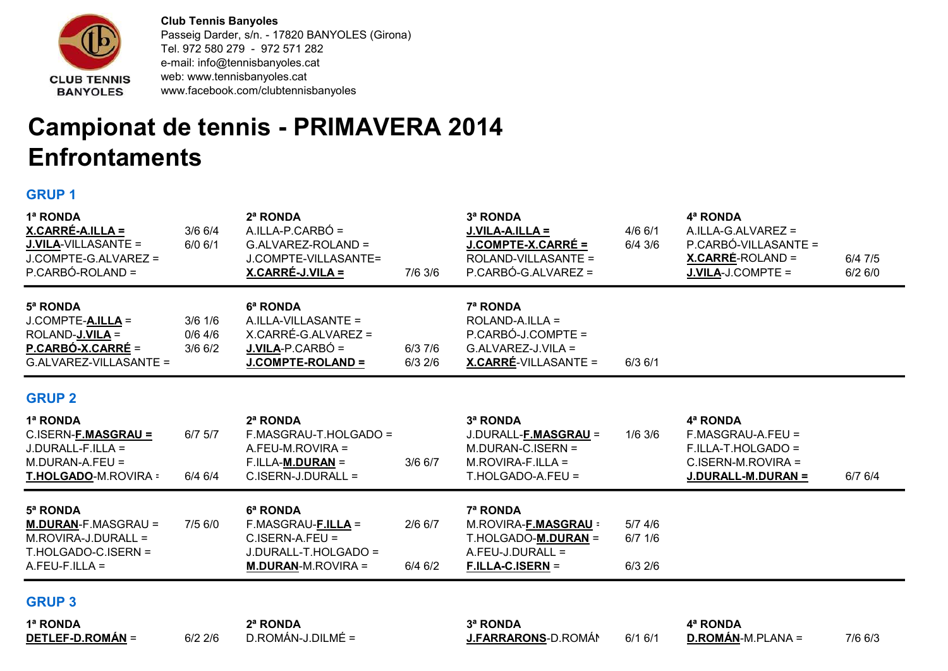

Club Tennis Banyoles Passeig Darder, s/n. - 17820 BANYOLES (Girona) Tel. 972 580 279 - 972 571 282 e-mail: info@tennisbanyoles.cat web: www.tennisbanyoles.cat www.facebook.com/clubtennisbanyoles

## Campionat de tennis - PRIMAVERA 2014 **Enfrontaments**

## GRUP 1

| 1ª RONDA<br>X.CARRÉ-A.ILLA =<br><b>J.VILA-VILLASANTE =</b><br>J.COMPTE-G.ALVAREZ =<br>P.CARBÓ-ROLAND =   | $3/6$ 6/4<br>$6/0$ $6/1$            | 2ª RONDA<br>$A. ILLA-P.CARBÓ =$<br>G.ALVAREZ-ROLAND =<br>J.COMPTE-VILLASANTE=<br><u>X.CARRÉ-J.VILA =</u> | 7/6 3/6                | 3ª RONDA<br>J.VILA-A.ILLA =<br>J.COMPTE-X.CARRÉ =<br>ROLAND-VILLASANTE =<br>P.CARBÓ-G.ALVAREZ =        | $4/6$ 6/1<br>$6/4$ 3/6              | 4ª RONDA<br>A.ILLA-G.ALVAREZ =<br>P.CARBÓ-VILLASANTE =<br><u>X.CARRÉ</u> -ROLAND =<br>J.VILA-J.COMPTE = | 6/47/5<br>6/26/0 |
|----------------------------------------------------------------------------------------------------------|-------------------------------------|----------------------------------------------------------------------------------------------------------|------------------------|--------------------------------------------------------------------------------------------------------|-------------------------------------|---------------------------------------------------------------------------------------------------------|------------------|
| 5ª RONDA<br>J.COMPTE-A.ILLA =<br>ROLAND- <b>J.VILA</b> =<br>P.CARBÓ-X.CARRÉ =<br>G.ALVAREZ-VILLASANTE =  | $3/6$ 1/6<br>$0/6$ 4/6<br>$3/6$ 6/2 | 6ª RONDA<br>A.ILLA-VILLASANTE =<br>X.CARRÉ-G.ALVAREZ =<br>$J.VILA-P.CARBÓ =$<br><b>J.COMPTE-ROLAND =</b> | 6/37/6<br>$6/3$ 2/6    | 7ª RONDA<br>ROLAND-A.ILLA =<br>P.CARBÓ-J.COMPTE =<br>G.ALVAREZ-J.VILA =<br><b>X.CARRÉ-VILLASANTE =</b> | $6/3$ $6/1$                         |                                                                                                         |                  |
| <b>GRUP 2</b>                                                                                            |                                     |                                                                                                          |                        |                                                                                                        |                                     |                                                                                                         |                  |
| 1ª RONDA<br>C.ISERN-F.MASGRAU =<br>$J.DURALL-F.ILLA =$<br>M.DURAN-A.FEU =<br>T.HOLGADO-M.ROVIRA =        | $6/7$ $5/7$<br>6/4 6/4              | 2ª RONDA<br>F.MASGRAU-T.HOLGADO =<br>A.FEU-M.ROVIRA =<br>$F.ILLA-M.DURAN =$<br>$C.ISERN-J.DURALL =$      | $3/6$ 6/7              | 3ª RONDA<br>J.DURALL-F.MASGRAU =<br>$M.DURAN-C.ISERN =$<br>$M.ROVIRA-F.ILLA =$<br>T.HOLGADO-A.FEU =    | $1/6$ 3/6                           | 4ª RONDA<br>F.MASGRAU-A.FEU =<br>F.ILLA-T.HOLGADO =<br>C.ISERN-M.ROVIRA =<br>J.DURALL-M.DURAN =         | 6/76/4           |
| 5ª RONDA<br><b>M.DURAN-F.MASGRAU =</b><br>M.ROVIRA-J.DURALL =<br>T.HOLGADO-C.ISERN =<br>$A.FEU-F.ILLA =$ | 7/5 6/0                             | 6ª RONDA<br>F.MASGRAU-F.ILLA =<br>$C.ISERN-A.FEU =$<br>J.DURALL-T.HOLGADO =<br><b>M.DURAN-M.ROVIRA =</b> | $2/6$ 6/7<br>$6/4$ 6/2 | 7ª RONDA<br>M.ROVIRA-F.MASGRAU =<br>T.HOLGADO-M.DURAN =<br>A.FEU-J.DURALL =<br>$F.ILLA-C.ISERN =$      | $5/7$ 4/6<br>$6/7$ 1/6<br>$6/3$ 2/6 |                                                                                                         |                  |
| <b>GRUP 3</b>                                                                                            |                                     |                                                                                                          |                        |                                                                                                        |                                     |                                                                                                         |                  |

## GRUP 3

1ª RONDA 2ª RONDA 3ª RONDA 4ª RONDA

DETLEF-D.ROMÁN = 6/2 2/6 D.ROMÁN-J.DILMÉ = J.FARRARONS-D.ROMÁN 6/1 6/1 D.ROMÁN-M.PLANA = 7/6 6/3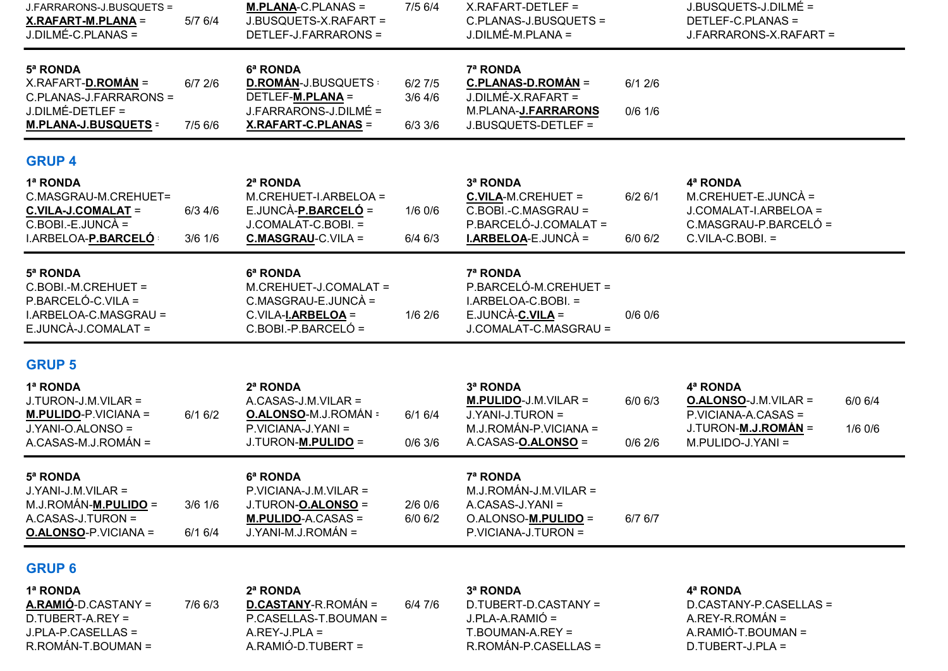| J.FARRARONS-J.BUSQUETS =<br>X.RAFART-M.PLANA =<br>J.DILMÉ-C.PLANAS =                                          | 5/7 6/4                  | $M.PLANA-C.PLANAS =$<br>J.BUSQUETS-X.RAFART =<br>DETLEF-J.FARRARONS =                                        | 7/5 6/4                          | X.RAFART-DETLEF =<br>C.PLANAS-J.BUSQUETS =<br>J.DILMÉ-M.PLANA =                                                     |                          | J.BUSQUETS-J.DILMÉ =<br>DETLEF-C.PLANAS =<br>J.FARRARONS-X.RAFART =                                        |                      |
|---------------------------------------------------------------------------------------------------------------|--------------------------|--------------------------------------------------------------------------------------------------------------|----------------------------------|---------------------------------------------------------------------------------------------------------------------|--------------------------|------------------------------------------------------------------------------------------------------------|----------------------|
| 5ª RONDA<br>X.RAFART-D.ROMÁN =<br>C.PLANAS-J.FARRARONS =<br>$J.DILMÉ-DETLEF =$<br><b>M.PLANA-J.BUSQUETS =</b> | $6/7$ $2/6$<br>7/5 6/6   | 6ª RONDA<br><b>D.ROMÁN-J.BUSQUETS:</b><br>DETLEF-M.PLANA =<br>J.FARRARONS-J.DILMÉ =<br>X.RAFART-C.PLANAS =   | 6/27/5<br>$3/6$ 4/6<br>$6/3$ 3/6 | 7ª RONDA<br>C.PLANAS-D.ROMÁN =<br>J.DILMÉ-X.RAFART =<br>M.PLANA-J.FARRARONS<br>J.BUSQUETS-DETLEF =                  | 6/12/6<br>$0/6$ 1/6      |                                                                                                            |                      |
| <b>GRUP 4</b>                                                                                                 |                          |                                                                                                              |                                  |                                                                                                                     |                          |                                                                                                            |                      |
| 1ª RONDA<br>C.MASGRAU-M.CREHUET=<br>C.VILA-J.COMALAT =<br>$C.BOBI.-E.JUNCÀ =$<br>I.ARBELOA-P.BARCELÓ          | $6/3$ 4/6<br>$3/6$ $1/6$ | 2ª RONDA<br>M.CREHUET-I.ARBELOA =<br>E.JUNCÀ-P.BARCELÓ =<br>J.COMALAT-C.BOBI. =<br><b>C.MASGRAU-C.VILA =</b> | $1/6$ 0/6<br>$6/4$ $6/3$         | 3ª RONDA<br><b>C.VILA-M.CREHUET =</b><br>C.BOBI.-C.MASGRAU =<br>P.BARCELÓ-J.COMALAT =<br><b>I.ARBELOA-E.JUNCÀ =</b> | $6/2$ 6/1<br>$6/0$ $6/2$ | 4ª RONDA<br>$M.CREHUET-E.JUNCÀ =$<br>J.COMALAT-I.ARBELOA =<br>C.MASGRAU-P.BARCELÓ =<br>$C.VILA-C.BOBI. =$  |                      |
| 5ª RONDA<br>C.BOBI.-M.CREHUET =<br>P.BARCELÓ-C.VILA =<br>I.ARBELOA-C.MASGRAU =<br>E.JUNCÀ-J.COMALAT =         |                          | 6ª RONDA<br>M.CREHUET-J.COMALAT =<br>C.MASGRAU-E.JUNCÀ =<br>C.VILA-I.ARBELOA =<br>C.BOBI.-P.BARCELÓ =        | $1/6$ 2/6                        | 7ª RONDA<br>P.BARCELÓ-M.CREHUET =<br>I.ARBELOA-C.BOBI. =<br>$E.UINCÀ-C.VILA =$<br>J.COMALAT-C.MASGRAU =             | $0/6$ 0/6                |                                                                                                            |                      |
| <b>GRUP 5</b>                                                                                                 |                          |                                                                                                              |                                  |                                                                                                                     |                          |                                                                                                            |                      |
| 1ª RONDA<br>J.TURON-J.M.VILAR =<br>$M.PULIDO-P.VICIANA =$<br>J.YANI-O.ALONSO =<br>A.CASAS-M.J.ROMÁN =         | 6/16/2                   | 2ª RONDA<br>A.CASAS-J.M.VILAR =<br><b>O.ALONSO-M.J.ROMÁN =</b><br>P.VICIANA-J.YANI =<br>J.TURON-M.PULIDO =   | 6/16/4<br>$0/6$ 3/6              | 3ª RONDA<br>$M.PULIDO-J.M.VILAR =$<br>J.YANI-J.TURON =<br>M.J.ROMÁN-P.VICIANA =<br>A.CASAS-O.ALONSO =               | $6/0$ $6/3$<br>$0/6$ 2/6 | 4ª RONDA<br><b>O.ALONSO-J.M.VILAR =</b><br>P.VICIANA-A.CASAS =<br>J.TURON-M.J.ROMÁN =<br>M.PULIDO-J.YANI = | 6/0 6/4<br>$1/6$ 0/6 |
| 5ª RONDA<br>J.YANI-J.M.VILAR =<br>M.J.ROMÁN-M.PULIDO =<br>A.CASAS-J.TURON =<br><b>O.ALONSO-P.VICIANA =</b>    | $3/6$ $1/6$<br>6/16/4    | 6ª RONDA<br>P.VICIANA-J.M.VILAR =<br>J.TURON-O.ALONSO =<br><b>M.PULIDO-A.CASAS =</b><br>J.YANI-M.J.ROMÁN =   | $2/6$ 0/6<br>$6/0$ $6/2$         | 7ª RONDA<br>M.J.ROMÁN-J.M.VILAR =<br>A.CASAS-J.YANI =<br>O.ALONSO-M.PULIDO =<br>P.VICIANA-J.TURON =                 | 6/7 6/7                  |                                                                                                            |                      |
| <b>GRUP 6</b>                                                                                                 |                          |                                                                                                              |                                  |                                                                                                                     |                          |                                                                                                            |                      |

1ª RONDA 2ª RONDA 3ª RONDA 4ª RONDA A.RAMIÓ-D.CASTANY = 7/6 6/3 D.CASTANY-R.ROMÁN = 6/4 7/6 D.TUBERT-D.CASTANY = D.CASTANY-P.CASELLAS =<br>D.TUBERT-A.REY = P.CASELLAS-T.BOUMAN = J.PLA-A.RAMIÓ = A.REY-R.ROMÁN = D.TUBERT-A.REY = P.CASELLAS-T.BOUMAN = J.PLA-A.RAMIÓ = A.REY-R.ROMÁN = J.PLA-P.CASELLAS = A.REY-J.PLA = T.BOUMAN-A.REY = A.RAMIÓ-T.BOUMAN =<br>R.ROMÁN-T.BOUMAN = A.RAMIÓ-D.TUBERT = R.ROMÁN-P.CASELLAS = D.TUBERT-J.PLA =

R.ROMÁN-P.CASELLAS =